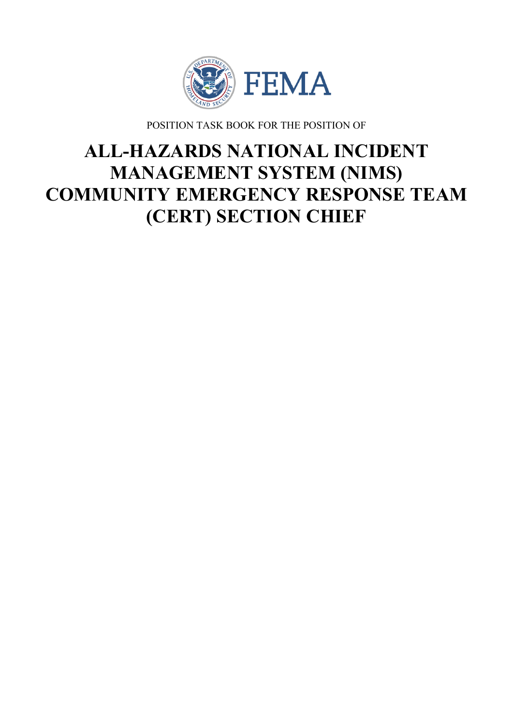

POSITION TASK BOOK FOR THE POSITION OF

# **ALL-HAZARDS NATIONAL INCIDENT MANAGEMENT SYSTEM (NIMS) COMMUNITY EMERGENCY RESPONSE TEAM (CERT) SECTION CHIEF**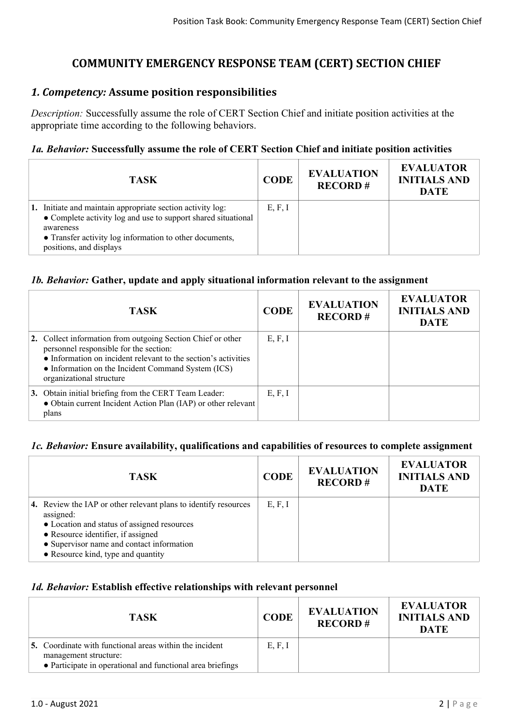# **COMMUNITY EMERGENCY RESPONSE TEAM (CERT) SECTION CHIEF**

## *1. Competency:* **Assume position responsibilities**

*Description:* Successfully assume the role of CERT Section Chief and initiate position activities at the appropriate time according to the following behaviors.

#### *1a. Behavior:* **Successfully assume the role of CERT Section Chief and initiate position activities**

| <b>TASK</b>                                                                                                                                                                                                                    | <b>CODE</b> | <b>EVALUATION</b><br><b>RECORD#</b> | <b>EVALUATOR</b><br><b>INITIALS AND</b><br><b>DATE</b> |
|--------------------------------------------------------------------------------------------------------------------------------------------------------------------------------------------------------------------------------|-------------|-------------------------------------|--------------------------------------------------------|
| 1. Initiate and maintain appropriate section activity log:<br>• Complete activity log and use to support shared situational<br>awareness<br>• Transfer activity log information to other documents,<br>positions, and displays | E, F, I     |                                     |                                                        |

#### *1b. Behavior:* **Gather, update and apply situational information relevant to the assignment**

| <b>TASK</b>                                                                                                                                                                                                                                               | <b>CODE</b> | <b>EVALUATION</b><br><b>RECORD#</b> | <b>EVALUATOR</b><br><b>INITIALS AND</b><br><b>DATE</b> |
|-----------------------------------------------------------------------------------------------------------------------------------------------------------------------------------------------------------------------------------------------------------|-------------|-------------------------------------|--------------------------------------------------------|
| 2. Collect information from outgoing Section Chief or other<br>personnel responsible for the section:<br>• Information on incident relevant to the section's activities<br>• Information on the Incident Command System (ICS)<br>organizational structure | E, F, I     |                                     |                                                        |
| 3. Obtain initial briefing from the CERT Team Leader:<br>• Obtain current Incident Action Plan (IAP) or other relevant<br>plans                                                                                                                           | E, F, I     |                                     |                                                        |

#### *1c. Behavior:* **Ensure availability, qualifications and capabilities of resources to complete assignment**

| TASK                                                                                                                                                                                                                                                 | <b>CODE</b> | <b>EVALUATION</b><br><b>RECORD#</b> | <b>EVALUATOR</b><br><b>INITIALS AND</b><br><b>DATE</b> |
|------------------------------------------------------------------------------------------------------------------------------------------------------------------------------------------------------------------------------------------------------|-------------|-------------------------------------|--------------------------------------------------------|
| 4. Review the IAP or other relevant plans to identify resources<br>assigned:<br>• Location and status of assigned resources<br>• Resource identifier, if assigned<br>• Supervisor name and contact information<br>• Resource kind, type and quantity | E, F, I     |                                     |                                                        |

#### *1d. Behavior:* **Establish effective relationships with relevant personnel**

| <b>TASK</b>                                                                                                                                           | <b>CODE</b> | <b>EVALUATION</b><br><b>RECORD#</b> | <b>EVALUATOR</b><br><b>INITIALS AND</b><br><b>DATE</b> |
|-------------------------------------------------------------------------------------------------------------------------------------------------------|-------------|-------------------------------------|--------------------------------------------------------|
| <b>5.</b> Coordinate with functional areas within the incident<br>management structure:<br>• Participate in operational and functional area briefings | E, F, I     |                                     |                                                        |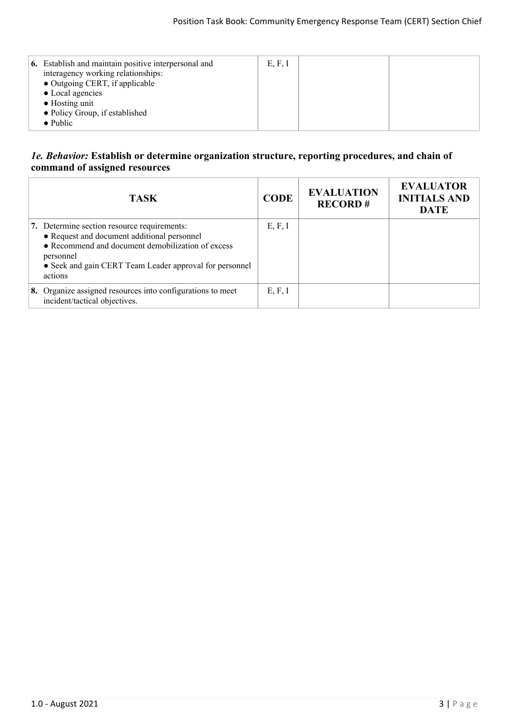| <b>6.</b> Establish and maintain positive interpersonal and<br>interagency working relationships:<br>• Outgoing CERT, if applicable<br>• Local agencies<br>$\bullet$ Hosting unit<br>• Policy Group, if established<br>$\bullet$ Public | E, F, I |  |  |
|-----------------------------------------------------------------------------------------------------------------------------------------------------------------------------------------------------------------------------------------|---------|--|--|
|-----------------------------------------------------------------------------------------------------------------------------------------------------------------------------------------------------------------------------------------|---------|--|--|

#### *1e. Behavior:* **Establish or determine organization structure, reporting procedures, and chain of command of assigned resources**

| <b>TASK</b>                                                                                                                                                                                                                        | <b>CODE</b> | <b>EVALUATION</b><br><b>RECORD#</b> | <b>EVALUATOR</b><br><b>INITIALS AND</b><br><b>DATE</b> |
|------------------------------------------------------------------------------------------------------------------------------------------------------------------------------------------------------------------------------------|-------------|-------------------------------------|--------------------------------------------------------|
| 7. Determine section resource requirements:<br>• Request and document additional personnel<br>• Recommend and document demobilization of excess<br>personnel<br>• Seek and gain CERT Team Leader approval for personnel<br>actions | E, F, I     |                                     |                                                        |
| 8. Organize assigned resources into configurations to meet<br>incident/tactical objectives.                                                                                                                                        | E, F, I     |                                     |                                                        |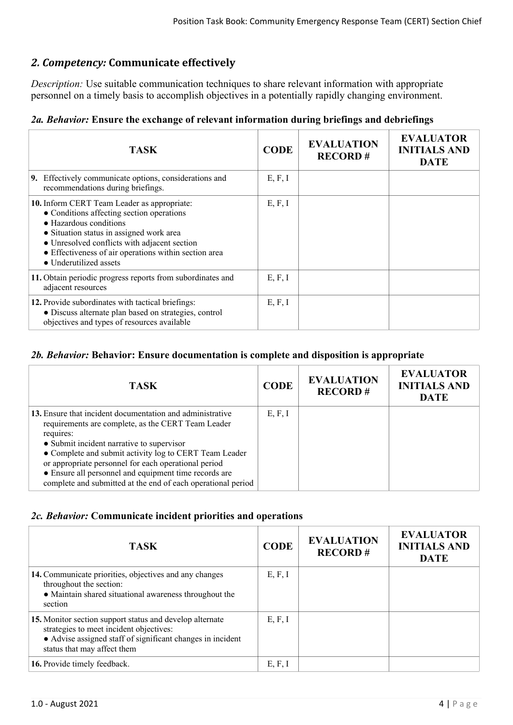# *2. Competency:* **Communicate effectively**

*Description:* Use suitable communication techniques to share relevant information with appropriate personnel on a timely basis to accomplish objectives in a potentially rapidly changing environment.

# *2a. Behavior:* **Ensure the exchange of relevant information during briefings and debriefings**

| <b>TASK</b>                                                                                                                                                                                                                                                                                       | <b>CODE</b> | <b>EVALUATION</b><br><b>RECORD#</b> | <b>EVALUATOR</b><br><b>INITIALS AND</b><br><b>DATE</b> |
|---------------------------------------------------------------------------------------------------------------------------------------------------------------------------------------------------------------------------------------------------------------------------------------------------|-------------|-------------------------------------|--------------------------------------------------------|
| 9. Effectively communicate options, considerations and<br>recommendations during briefings.                                                                                                                                                                                                       | E, F, I     |                                     |                                                        |
| 10. Inform CERT Team Leader as appropriate:<br>• Conditions affecting section operations<br>• Hazardous conditions<br>• Situation status in assigned work area<br>• Unresolved conflicts with adjacent section<br>• Effectiveness of air operations within section area<br>• Underutilized assets | E, F, I     |                                     |                                                        |
| 11. Obtain periodic progress reports from subordinates and<br>adjacent resources                                                                                                                                                                                                                  | E, F, I     |                                     |                                                        |
| 12. Provide subordinates with tactical briefings:<br>• Discuss alternate plan based on strategies, control<br>objectives and types of resources available                                                                                                                                         | E, F, I     |                                     |                                                        |

# *2b. Behavior:* **Behavior: Ensure documentation is complete and disposition is appropriate**

| <b>TASK</b>                                                                                                                                                                                                                                                                                                                                                                                                          | <b>CODE</b> | <b>EVALUATION</b><br><b>RECORD#</b> | <b>EVALUATOR</b><br><b>INITIALS AND</b><br><b>DATE</b> |
|----------------------------------------------------------------------------------------------------------------------------------------------------------------------------------------------------------------------------------------------------------------------------------------------------------------------------------------------------------------------------------------------------------------------|-------------|-------------------------------------|--------------------------------------------------------|
| 13. Ensure that incident documentation and administrative<br>requirements are complete, as the CERT Team Leader<br>requires:<br>• Submit incident narrative to supervisor<br>• Complete and submit activity log to CERT Team Leader<br>or appropriate personnel for each operational period<br>• Ensure all personnel and equipment time records are<br>complete and submitted at the end of each operational period | E, F, I     |                                     |                                                        |

## *2c. Behavior:* **Communicate incident priorities and operations**

| <b>TASK</b>                                                                                                                                                                                      | <b>CODE</b> | <b>EVALUATION</b><br><b>RECORD#</b> | <b>EVALUATOR</b><br><b>INITIALS AND</b><br><b>DATE</b> |
|--------------------------------------------------------------------------------------------------------------------------------------------------------------------------------------------------|-------------|-------------------------------------|--------------------------------------------------------|
| 14. Communicate priorities, objectives and any changes<br>throughout the section:<br>• Maintain shared situational awareness throughout the<br>section                                           | E, F, I     |                                     |                                                        |
| 15. Monitor section support status and develop alternate<br>strategies to meet incident objectives:<br>• Advise assigned staff of significant changes in incident<br>status that may affect them | E, F, I     |                                     |                                                        |
| 16. Provide timely feedback.                                                                                                                                                                     | E, F, I     |                                     |                                                        |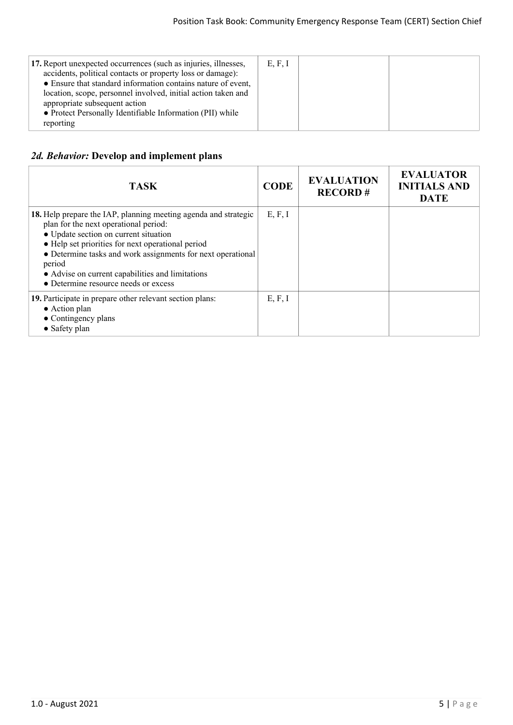| 17. Report unexpected occurrences (such as injuries, illnesses,<br>accidents, political contacts or property loss or damage):<br>• Ensure that standard information contains nature of event,<br>location, scope, personnel involved, initial action taken and<br>appropriate subsequent action<br>• Protect Personally Identifiable Information (PII) while<br>reporting | E, F, I |  |
|---------------------------------------------------------------------------------------------------------------------------------------------------------------------------------------------------------------------------------------------------------------------------------------------------------------------------------------------------------------------------|---------|--|
|---------------------------------------------------------------------------------------------------------------------------------------------------------------------------------------------------------------------------------------------------------------------------------------------------------------------------------------------------------------------------|---------|--|

#### *2d. Behavior:* **Develop and implement plans**

| <b>TASK</b>                                                                                                                                                                                                                                                                                                                                                                 | <b>CODE</b> | <b>EVALUATION</b><br><b>RECORD#</b> | <b>EVALUATOR</b><br><b>INITIALS AND</b><br><b>DATE</b> |
|-----------------------------------------------------------------------------------------------------------------------------------------------------------------------------------------------------------------------------------------------------------------------------------------------------------------------------------------------------------------------------|-------------|-------------------------------------|--------------------------------------------------------|
| 18. Help prepare the IAP, planning meeting agenda and strategic<br>plan for the next operational period:<br>• Update section on current situation<br>• Help set priorities for next operational period<br>• Determine tasks and work assignments for next operational<br>period<br>• Advise on current capabilities and limitations<br>• Determine resource needs or excess | E, F, I     |                                     |                                                        |
| 19. Participate in prepare other relevant section plans:<br>• Action plan<br>• Contingency plans<br>• Safety plan                                                                                                                                                                                                                                                           | E, F, I     |                                     |                                                        |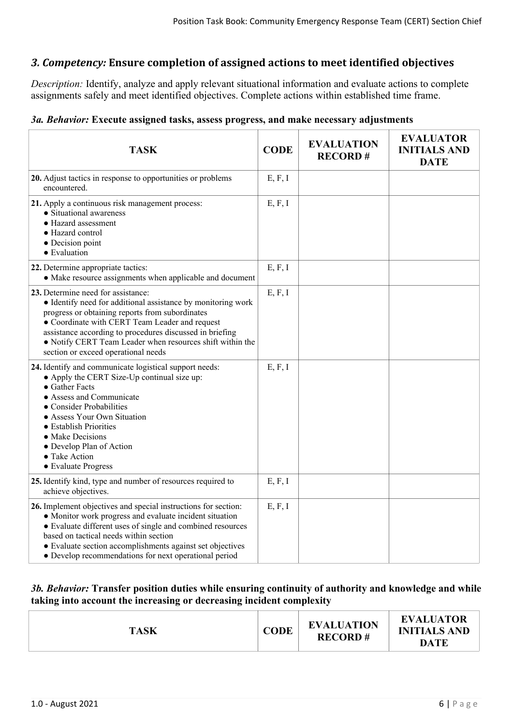## *3. Competency:* **Ensure completion of assigned actions to meet identified objectives**

*Description:* Identify, analyze and apply relevant situational information and evaluate actions to complete assignments safely and meet identified objectives. Complete actions within established time frame.

#### *3a. Behavior:* **Execute assigned tasks, assess progress, and make necessary adjustments**

| <b>TASK</b>                                                                                                                                                                                                                                                                                                                                                             | <b>CODE</b> | <b>EVALUATION</b><br><b>RECORD#</b> | <b>EVALUATOR</b><br><b>INITIALS AND</b><br><b>DATE</b> |
|-------------------------------------------------------------------------------------------------------------------------------------------------------------------------------------------------------------------------------------------------------------------------------------------------------------------------------------------------------------------------|-------------|-------------------------------------|--------------------------------------------------------|
| 20. Adjust tactics in response to opportunities or problems<br>encountered.                                                                                                                                                                                                                                                                                             | E, F, I     |                                     |                                                        |
| 21. Apply a continuous risk management process:<br>• Situational awareness<br>• Hazard assessment<br>• Hazard control<br>• Decision point<br>• Evaluation                                                                                                                                                                                                               | E, F, I     |                                     |                                                        |
| 22. Determine appropriate tactics:<br>• Make resource assignments when applicable and document                                                                                                                                                                                                                                                                          | E, F, I     |                                     |                                                        |
| 23. Determine need for assistance:<br>• Identify need for additional assistance by monitoring work<br>progress or obtaining reports from subordinates<br>• Coordinate with CERT Team Leader and request<br>assistance according to procedures discussed in briefing<br>• Notify CERT Team Leader when resources shift within the<br>section or exceed operational needs | E, F, I     |                                     |                                                        |
| 24. Identify and communicate logistical support needs:<br>• Apply the CERT Size-Up continual size up:<br>• Gather Facts<br>• Assess and Communicate<br>• Consider Probabilities<br>• Assess Your Own Situation<br>• Establish Priorities<br>• Make Decisions<br>• Develop Plan of Action<br>• Take Action<br>• Evaluate Progress                                        | E, F, I     |                                     |                                                        |
| 25. Identify kind, type and number of resources required to<br>achieve objectives.                                                                                                                                                                                                                                                                                      | E, F, I     |                                     |                                                        |
| 26. Implement objectives and special instructions for section:<br>• Monitor work progress and evaluate incident situation<br>• Evaluate different uses of single and combined resources<br>based on tactical needs within section<br>• Evaluate section accomplishments against set objectives<br>• Develop recommendations for next operational period                 | E, F, I     |                                     |                                                        |

#### *3b. Behavior:* **Transfer position duties while ensuring continuity of authority and knowledge and while taking into account the increasing or decreasing incident complexity**

|--|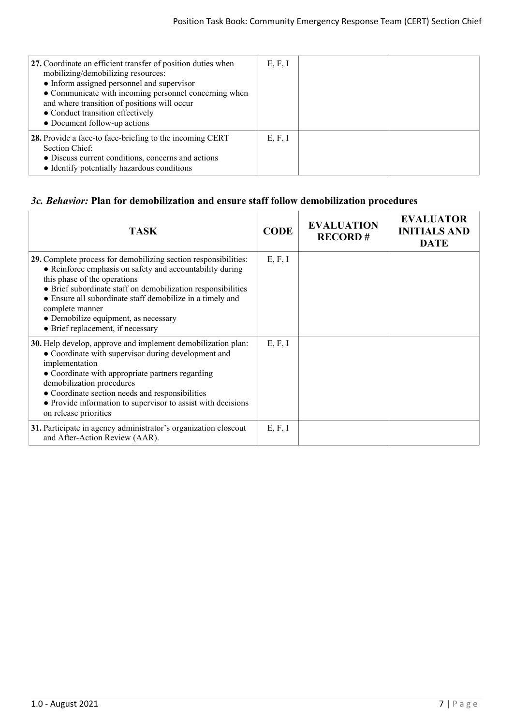| 27. Coordinate an efficient transfer of position duties when<br>mobilizing/demobilizing resources:<br>• Inform assigned personnel and supervisor<br>• Communicate with incoming personnel concerning when<br>and where transition of positions will occur<br>• Conduct transition effectively<br>• Document follow-up actions | E, F, I |  |
|-------------------------------------------------------------------------------------------------------------------------------------------------------------------------------------------------------------------------------------------------------------------------------------------------------------------------------|---------|--|
| 28. Provide a face-to face-briefing to the incoming CERT<br>Section Chief:<br>• Discuss current conditions, concerns and actions<br>• Identify potentially hazardous conditions                                                                                                                                               | E, F, I |  |

#### *3c. Behavior:* **Plan for demobilization and ensure staff follow demobilization procedures**

| <b>TASK</b>                                                                                                                                                                                                                                                                                                                                                                              | <b>CODE</b> | <b>EVALUATION</b><br><b>RECORD#</b> | <b>EVALUATOR</b><br><b>INITIALS AND</b><br><b>DATE</b> |
|------------------------------------------------------------------------------------------------------------------------------------------------------------------------------------------------------------------------------------------------------------------------------------------------------------------------------------------------------------------------------------------|-------------|-------------------------------------|--------------------------------------------------------|
| 29. Complete process for demobilizing section responsibilities:<br>• Reinforce emphasis on safety and accountability during<br>this phase of the operations<br>• Brief subordinate staff on demobilization responsibilities<br>• Ensure all subordinate staff demobilize in a timely and<br>complete manner<br>· Demobilize equipment, as necessary<br>• Brief replacement, if necessary | E, F, I     |                                     |                                                        |
| 30. Help develop, approve and implement demobilization plan:<br>• Coordinate with supervisor during development and<br>implementation<br>• Coordinate with appropriate partners regarding<br>demobilization procedures<br>• Coordinate section needs and responsibilities<br>• Provide information to supervisor to assist with decisions<br>on release priorities                       | E, F, I     |                                     |                                                        |
| 31. Participate in agency administrator's organization closeout<br>and After-Action Review (AAR).                                                                                                                                                                                                                                                                                        | E, F, I     |                                     |                                                        |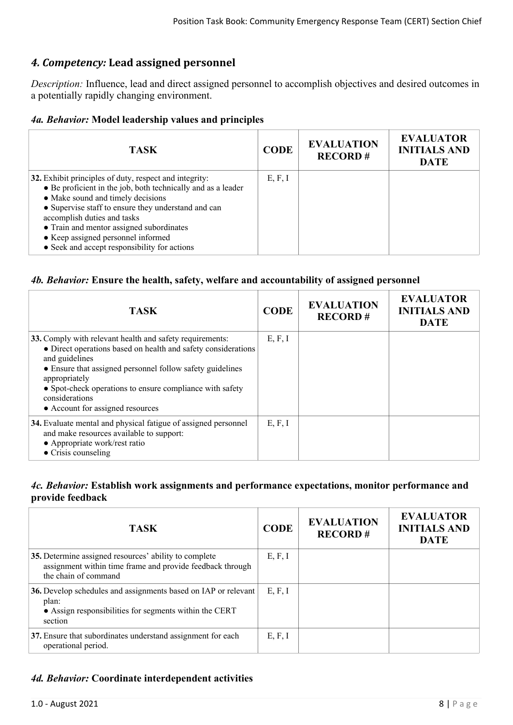# *4. Competency:* **Lead assigned personnel**

*Description:* Influence, lead and direct assigned personnel to accomplish objectives and desired outcomes in a potentially rapidly changing environment.

## *4a. Behavior:* **Model leadership values and principles**

| <b>TASK</b>                                                                                                                                                                                                                                                                                                                                                                         | <b>CODE</b> | <b>EVALUATION</b><br><b>RECORD#</b> | <b>EVALUATOR</b><br><b>INITIALS AND</b><br><b>DATE</b> |
|-------------------------------------------------------------------------------------------------------------------------------------------------------------------------------------------------------------------------------------------------------------------------------------------------------------------------------------------------------------------------------------|-------------|-------------------------------------|--------------------------------------------------------|
| 32. Exhibit principles of duty, respect and integrity:<br>• Be proficient in the job, both technically and as a leader<br>• Make sound and timely decisions<br>• Supervise staff to ensure they understand and can<br>accomplish duties and tasks<br>• Train and mentor assigned subordinates<br>• Keep assigned personnel informed<br>• Seek and accept responsibility for actions | E, F, I     |                                     |                                                        |

## *4b. Behavior:* **Ensure the health, safety, welfare and accountability of assigned personnel**

| <b>TASK</b>                                                                                                                                                                                                                                                                                                                                 | <b>CODE</b> | <b>EVALUATION</b><br><b>RECORD#</b> | <b>EVALUATOR</b><br><b>INITIALS AND</b><br><b>DATE</b> |
|---------------------------------------------------------------------------------------------------------------------------------------------------------------------------------------------------------------------------------------------------------------------------------------------------------------------------------------------|-------------|-------------------------------------|--------------------------------------------------------|
| 33. Comply with relevant health and safety requirements:<br>• Direct operations based on health and safety considerations<br>and guidelines<br>• Ensure that assigned personnel follow safety guidelines<br>appropriately<br>• Spot-check operations to ensure compliance with safety<br>considerations<br>• Account for assigned resources | E, F, I     |                                     |                                                        |
| 34. Evaluate mental and physical fatigue of assigned personnel<br>and make resources available to support:<br>• Appropriate work/rest ratio<br>$\bullet$ Crisis counseling                                                                                                                                                                  | E, F, I     |                                     |                                                        |

#### *4c. Behavior:* **Establish work assignments and performance expectations, monitor performance and provide feedback**

| <b>TASK</b>                                                                                                                                  | <b>CODE</b> | <b>EVALUATION</b><br><b>RECORD#</b> | <b>EVALUATOR</b><br><b>INITIALS AND</b><br><b>DATE</b> |
|----------------------------------------------------------------------------------------------------------------------------------------------|-------------|-------------------------------------|--------------------------------------------------------|
| 35. Determine assigned resources' ability to complete<br>assignment within time frame and provide feedback through<br>the chain of command   | E, F, I     |                                     |                                                        |
| 36. Develop schedules and assignments based on IAP or relevant<br>plan:<br>• Assign responsibilities for segments within the CERT<br>section | E, F, I     |                                     |                                                        |
| 37. Ensure that subordinates understand assignment for each<br>operational period.                                                           | E, F, I     |                                     |                                                        |

# *4d. Behavior:* **Coordinate interdependent activities**